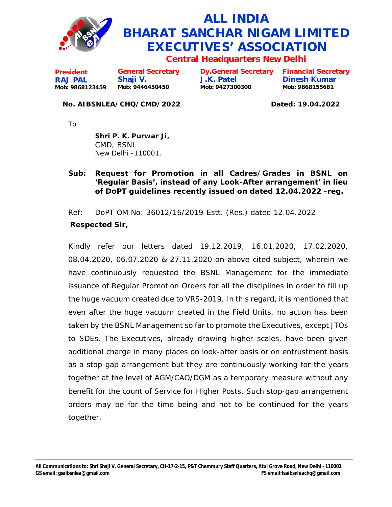

## **ALL INDIA BHARAT SANCHAR NIGAM LIMITED EXECUTIVES' ASSOCIATION**

**Central Headquarters New Delhi**

**President RAJ PAL Mob: 9868123459 General Secretary Shaji V. Mob: 9446450450**

**Dy.General Secretary J.K. Patel Mob: 9427300300**

**Financial Secretary Dinesh Kumar Mob: 9868155681**

## **No. AIBSNLEA/CHQ/CMD/2022 Dated: 19.04.2022**

To

**Shri P. K. Purwar Ji,** CMD, BSNL New Delhi -110001.

## **Sub: Request for Promotion in all Cadres/Grades in BSNL on 'Regular Basis', instead of any Look-After arrangement' in lieu of DoPT guidelines recently issued on dated 12.04.2022 -reg.**

Ref: DoPT OM No: 36012/16/2019-Estt. (Res.) dated 12.04.2022  **Respected Sir,**

Kindly refer our letters dated 19.12.2019, 16.01.2020, 17.02.2020, 08.04.2020, 06.07.2020 & 27.11.2020 on above cited subject, wherein we have continuously requested the BSNL Management for the immediate issuance of Regular Promotion Orders for all the disciplines in order to fill up the huge vacuum created due to VRS-2019. In this regard, it is mentioned that even after the huge vacuum created in the Field Units, no action has been taken by the BSNL Management so far to promote the Executives, except JTOs to SDEs. The Executives, already drawing higher scales, have been given additional charge in many places on look-after basis or on entrustment basis as a stop-gap arrangement but they are continuously working for the years together at the level of AGM/CAO/DGM as a temporary measure without any benefit for the count of Service for Higher Posts. Such stop-gap arrangement orders may be for the time being and not to be continued for the years together.

**All Communications to: Shri Shaji V, General Secretary, CH-17-2-15, P&T Chemmury Staff Quarters, Atul Grove Road, New Delhi - 110001 GS email: [gsaibsnlea@gmail.com](mailto:gsaibsnlea@gmail.com) FS [email:fsaibsnleachq@gmail.com](mailto:email:fsaibsnleachq@gmail.com)**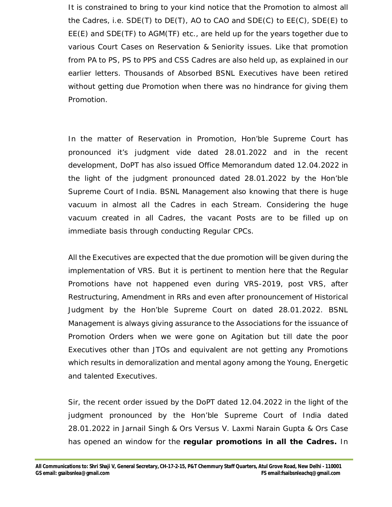It is constrained to bring to your kind notice that the Promotion to almost all the Cadres, i.e. SDE(T) to DE(T), AO to CAO and SDE(C) to EE(C), SDE(E) to EE(E) and SDE(TF) to AGM(TF) etc., are held up for the years together due to various Court Cases on Reservation & Seniority issues. Like that promotion from PA to PS, PS to PPS and CSS Cadres are also held up, as explained in our earlier letters. Thousands of Absorbed BSNL Executives have been retired without getting due Promotion when there was no hindrance for giving them Promotion.

In the matter of Reservation in Promotion, Hon'ble Supreme Court has pronounced it's judgment vide dated 28.01.2022 and in the recent development, DoPT has also issued Office Memorandum dated 12.04.2022 in the light of the judgment pronounced dated 28.01.2022 by the Hon'ble Supreme Court of India. BSNL Management also knowing that there is huge vacuum in almost all the Cadres in each Stream. Considering the huge vacuum created in all Cadres, the vacant Posts are to be filled up on immediate basis through conducting Regular CPCs.

All the Executives are expected that the due promotion will be given during the implementation of VRS. But it is pertinent to mention here that the Regular Promotions have not happened even during VRS-2019, post VRS, after Restructuring, Amendment in RRs and even after pronouncement of Historical Judgment by the Hon'ble Supreme Court on dated 28.01.2022. BSNL Management is always giving assurance to the Associations for the issuance of Promotion Orders when we were gone on Agitation but till date the poor Executives other than JTOs and equivalent are not getting any Promotions which results in demoralization and mental agony among the Young, Energetic and talented Executives.

Sir, the recent order issued by the DoPT dated 12.04.2022 in the light of the judgment pronounced by the Hon'ble Supreme Court of India dated 28.01.2022 in Jarnail Singh & Ors Versus V. Laxmi Narain Gupta & Ors Case has opened an window for the **regular promotions in all the Cadres.** In

**All Communications to: Shri Shaji V, General Secretary, CH-17-2-15, P&T Chemmury Staff Quarters, Atul Grove Road, New Delhi - 110001 GS email: [gsaibsnlea@gmail.com](mailto:gsaibsnlea@gmail.com) FS [email:fsaibsnleachq@gmail.com](mailto:email:fsaibsnleachq@gmail.com)**